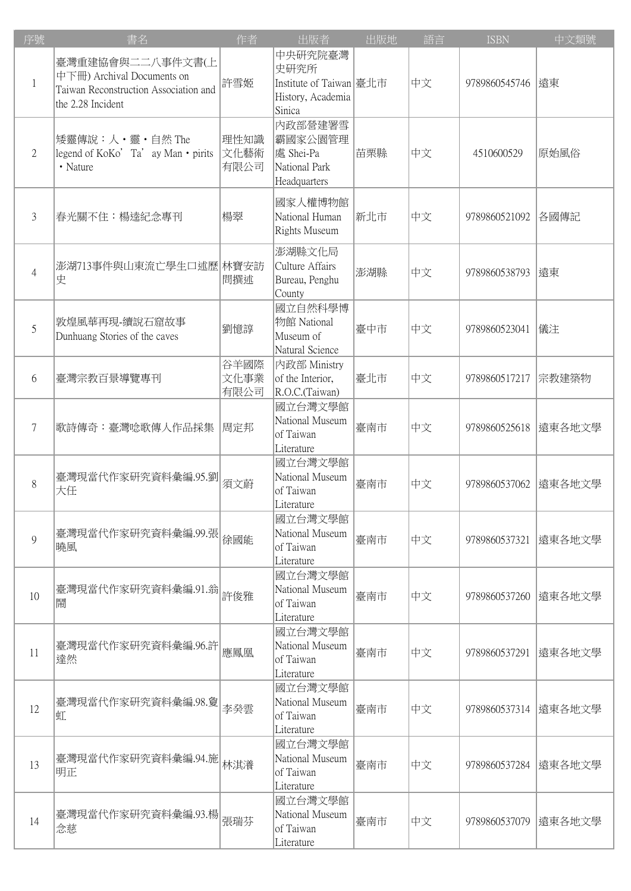| 序號             | 書名                                                                                                           | 作者                   | 出版者                                                                       | 出版地 | 語言 | <b>ISBN</b>       | 中文類號   |
|----------------|--------------------------------------------------------------------------------------------------------------|----------------------|---------------------------------------------------------------------------|-----|----|-------------------|--------|
| $\mathbf{1}$   | 臺灣重建協會與二二八事件文書(上<br>中下冊) Archival Documents on<br>Taiwan Reconstruction Association and<br>the 2.28 Incident | 許雪姬                  | 中央研究院臺灣<br>史研究所<br>Institute of Taiwan 臺北市<br>History, Academia<br>Sinica |     | 中文 | 9789860545746  遠東 |        |
| $\mathfrak{2}$ | 矮靈傳說:人·靈·自然 The<br>legend of $KoKo'$ Ta' ay Man $\cdot$ pirits<br>• Nature                                   | 理性知識<br>文化藝術<br>有限公司 | 内政部營建署雪<br> 霸國家公園管理<br> 處 Shei-Pa<br>National Park<br>Headquarters        | 苗栗縣 | 中文 | 4510600529        | 原始風俗   |
| 3              | 春光關不住:楊逵紀念專刊                                                                                                 | 楊翠                   | 國家人權博物館<br>National Human<br>Rights Museum                                | 新北市 | 中文 | 9789860521092     | 各國傳記   |
| $\overline{4}$ | 澎湖713事件與山東流亡學生口述歷 林寶安訪<br>史                                                                                  | 問撰述                  | 澎湖縣文化局<br>Culture Affairs<br>Bureau, Penghu<br>County                     | 澎湖縣 | 中文 | 9789860538793     | 遠東     |
| 5              | 敦煌風華再現-續說石窟故事<br>Dunhuang Stories of the caves                                                               | 劉憶諄                  | 國立自然科學博<br>物館 National<br>Museum of<br>Natural Science                    | 臺中市 | 中文 | 9789860523041     | 儀注     |
| 6              | 臺灣宗教百景導覽專刊                                                                                                   | 谷羊國際<br>文化事業<br>有限公司 | 内政部 Ministry<br>of the Interior,<br>R.O.C.(Taiwan)                        | 臺北市 | 中文 | 9789860517217     | 宗教建築物  |
| 7              | 歌詩傳奇:臺灣唸歌傳人作品採集                                                                                              | 周定邦                  | 國立台灣文學館<br>National Museum<br>of Taiwan<br>Literature                     | 臺南市 | 中文 | 9789860525618     | 遠東各地文學 |
| 8              | 臺灣現當代作家研究資料彙編.95.劉<br>大任                                                                                     | 須文蔚                  | 國立台灣文學館<br>National Museum<br>of Taiwan<br>Literature                     | 臺南市 | 中文 | 9789860537062     | 遠東各地文學 |
| 9              | 臺灣現當代作家研究資料彙編.99.張<br>曉風                                                                                     | 徐國能                  | 國立台灣文學館<br>National Museum<br>of Taiwan<br>Literature                     | 臺南市 | 中文 | 9789860537321     | 遠東各地文學 |
| 10             | 臺灣現當代作家研究資料彙編.91.翁<br>鬧                                                                                      | 許俊雅                  | 國立台灣文學館<br>National Museum<br>of Taiwan<br>Literature                     | 臺南市 | 中文 | 9789860537260     | 遠東各地文學 |
| 11             | 臺灣現當代作家研究資料彙編.96.許<br>達然                                                                                     | 應鳳凰                  | 國立台灣文學館<br>National Museum<br>of Taiwan<br>Literature                     | 臺南市 | 中文 | 9789860537291     | 遠東各地文學 |
| 12             | 臺灣現當代作家研究資料彙編.98.夐<br>虹                                                                                      | 李癸雲                  | 國立台灣文學館<br>National Museum<br>of Taiwan<br>Literature                     | 臺南市 | 中文 | 9789860537314     | 遠東各地文學 |
| 13             | 臺灣現當代作家研究資料彙編.94.施<br>明正                                                                                     | 林淇瀁                  | 國立台灣文學館<br>National Museum<br>of Taiwan<br>Literature                     | 臺南市 | 中文 | 9789860537284     | 遠東各地文學 |
| 14             | 臺灣現當代作家研究資料彙編.93.楊<br>念慈                                                                                     | 張瑞芬                  | 國立台灣文學館<br>National Museum<br>of Taiwan<br>Literature                     | 臺南市 | 中文 | 9789860537079     | 遠東各地文學 |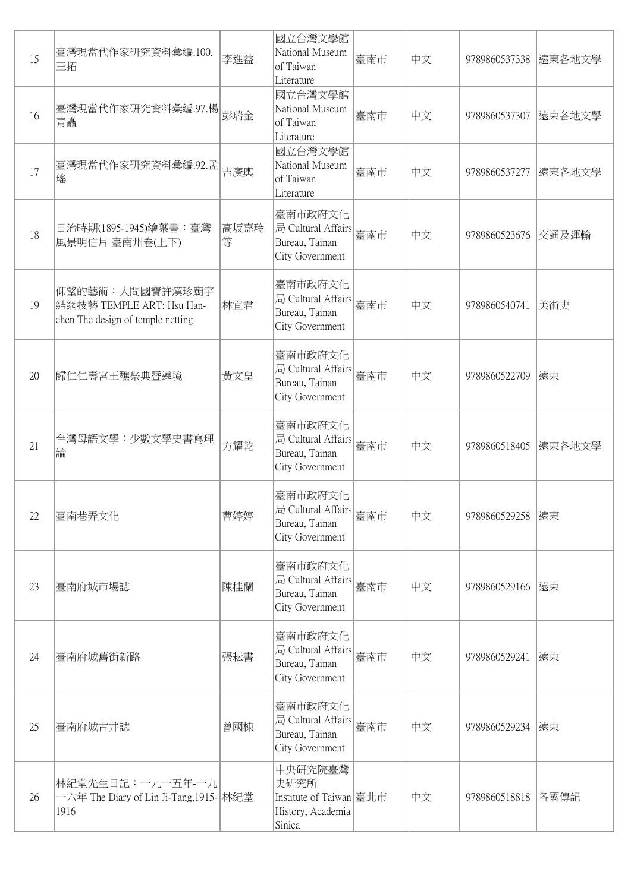| 15 | 臺灣現當代作家研究資料彙編.100.<br>王拓                                                          | 李進益       | 國立台灣文學館<br>National Museum<br>of Taiwan<br>Literature                     | 臺南市 | 中文 | 9789860537338      | 遠東各地文學 |
|----|-----------------------------------------------------------------------------------|-----------|---------------------------------------------------------------------------|-----|----|--------------------|--------|
| 16 | 臺灣現當代作家研究資料彙編.97.楊<br>青矗                                                          | 彭瑞金       | 國立台灣文學館<br>National Museum<br>of Taiwan<br>Literature                     | 臺南市 | 中文 | 9789860537307      | 遠東各地文學 |
| 17 | 臺灣現當代作家研究資料彙編.92.孟<br>瑤                                                           | 吉廣輿       | 國立台灣文學館<br>National Museum<br>of Taiwan<br>Literature                     | 臺南市 | 中文 | 9789860537277      | 遠東各地文學 |
| 18 | 日治時期(1895-1945)繪葉書:臺灣<br>風景明信片 臺南州卷(上下)                                           | 高坂嘉玲<br>等 | 臺南市政府文化<br>局 Cultural Affairs<br>Bureau, Tainan<br>City Government        | 臺南市 | 中文 | 9789860523676      | 交通及運輸  |
| 19 | 仰望的藝術:人間國寶許漢珍廟宇<br>結網技藝 TEMPLE ART: Hsu Han-<br>chen The design of temple netting | 林宜君       | 臺南市政府文化<br>局 Cultural Affairs<br>Bureau, Tainan<br>City Government        | 臺南市 | 中文 | 9789860540741      | 美術史    |
| 20 | 歸仁仁壽宮王醮祭典暨遶境                                                                      | 黃文皇       | 臺南市政府文化<br>局 Cultural Affairs<br>Bureau, Tainan<br>City Government        | 臺南市 | 中文 | 9789860522709      | 遠東     |
| 21 | 台灣母語文學:少數文學史書寫理<br>論                                                              | 方耀乾       | 臺南市政府文化<br>局 Cultural Affairs<br>Bureau, Tainan<br>City Government        | 臺南市 | 中文 | 9789860518405      | 遠東各地文學 |
| 22 | 臺南巷弄文化                                                                            | 曹婷婷       | 臺南市政府文化<br>局 Cultural Affairs<br>Bureau, Tainan<br>City Government        | 臺南市 | 中文 | 9789860529258  遠東  |        |
| 23 | 臺南府城市場誌                                                                           | 陳桂蘭       | 臺南市政府文化<br>局 Cultural Affairs<br>Bureau, Tainan<br>City Government        | 臺南市 | 中文 | 9789860529166  遠東  |        |
| 24 | 臺南府城舊街新路                                                                          | 張耘書       | 臺南市政府文化<br>局 Cultural Affairs<br>Bureau, Tainan<br>City Government        | 臺南市 | 中文 | 9789860529241  遠東  |        |
| 25 | 臺南府城古井誌                                                                           | 曾國棟       | 臺南市政府文化<br>局 Cultural Affairs<br>Bureau, Tainan<br>City Government        | 臺南市 | 中文 | 9789860529234  遠東  |        |
| 26 | 林紀堂先生日記: 一九一五年-一九<br>一六年 The Diary of Lin Ji-Tang,1915-   林紀堂<br>1916             |           | 中央研究院臺灣<br>史研究所<br>Institute of Taiwan 臺北市<br>History, Academia<br>Sinica |     | 中文 | 9789860518818 各國傳記 |        |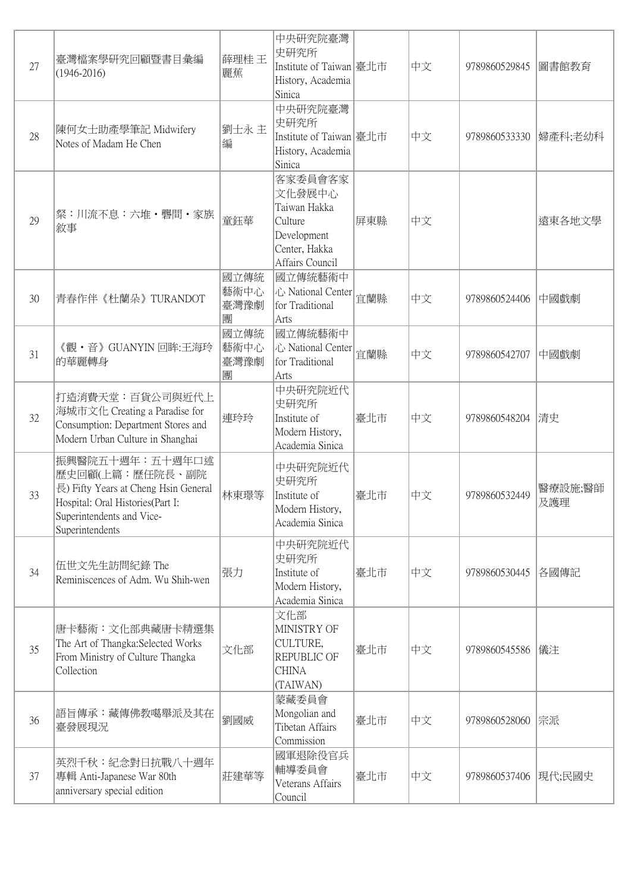| 27 | 臺灣檔案學研究回顧暨書目彙編<br>$(1946 - 2016)$                                                                                                                              | 薛理桂 王<br>麗蕉               | 中央研究院臺灣<br>史研究所<br>Institute of Taiwan 臺北市<br>History, Academia<br>Sinica                       |     | 中文 | 9789860529845           | 圖書館教育          |
|----|----------------------------------------------------------------------------------------------------------------------------------------------------------------|---------------------------|-------------------------------------------------------------------------------------------------|-----|----|-------------------------|----------------|
| 28 | 陳何女士助產學筆記 Midwifery<br>Notes of Madam He Chen                                                                                                                  | 劉士永主<br>編                 | 中央研究院臺灣<br>史研究所<br>Institute of Taiwan 臺北市<br>History, Academia<br>Sinica                       |     | 中文 | 9789860533330   婦產科;老幼科 |                |
| 29 | 粲:川流不息:六堆・礱間・家族 <br> 敘事                                                                                                                                        | 童鈺華                       | 客家委員會客家<br>文化發展中心<br>Taiwan Hakka<br>Culture<br>Development<br>Center, Hakka<br>Affairs Council | 屏東縣 | 中文 |                         | 遠東各地文學         |
| 30 | 青春作伴《杜蘭朵》TURANDOT                                                                                                                                              | 國立傳統<br>藝術中心<br>臺灣豫劇<br>團 | 國立傳統藝術中<br>心 National Center<br>for Traditional<br>Arts                                         | 宜蘭縣 | 中文 | 9789860524406           | 中國戲劇           |
| 31 | 《觀·音》 GUANYIN 回眸:王海玲<br>的華麗轉身                                                                                                                                  | 國立傳統<br>藝術中心<br>臺灣豫劇<br>團 | 國立傳統藝術中<br>心 National Center<br>for Traditional<br>Arts                                         | 宜蘭縣 | 中文 | 9789860542707           | 中國戲劇           |
| 32 | 打造消費天堂:百貨公司與近代上<br>海城市文化 Creating a Paradise for<br>Consumption: Department Stores and<br>Modern Urban Culture in Shanghai                                     | 連玲玲                       | 中央研究院近代<br>史研究所<br>Institute of<br>Modern History,<br>Academia Sinica                           | 臺北市 | 中文 | 9789860548204 清史        |                |
| 33 | 振興醫院五十週年:五十週年口述<br>歷史回顧(上篇:歷任院長、副院<br>長) Fifty Years at Cheng Hsin General<br>Hospital: Oral Histories(Part I:<br>Superintendents and Vice-<br>Superintendents | 林東璟等                      | 中央研究院近代<br>史研究所<br>Institute of<br>Modern History,<br>Academia Sinica                           | 臺北市 | 中文 | 9789860532449           | 醫療設施;醫師<br>及護理 |
| 34 | 伍世文先生訪問紀錄 The<br>Reminiscences of Adm. Wu Shih-wen                                                                                                             | 張力                        | 中央研究院近代<br>史研究所<br>Institute of<br>Modern History,<br>Academia Sinica                           | 臺北市 | 中文 | 9789860530445           | 各國傳記           |
| 35 | 唐卡藝術:文化部典藏唐卡精選集<br>The Art of Thangka: Selected Works<br>From Ministry of Culture Thangka<br>Collection                                                        | 文化部                       | 文化部<br>MINISTRY OF<br>CULTURE,<br>REPUBLIC OF<br><b>CHINA</b><br>(TAIWAN)                       | 臺北市 | 中文 | 9789860545586           | 儀注             |
| 36 | 語旨傳承:藏傳佛教噶舉派及其在<br>臺發展現況                                                                                                                                       | 劉國威                       | 蒙藏委員會<br>Mongolian and<br>Tibetan Affairs<br>Commission                                         | 臺北市 | 中文 | 9789860528060 宗派        |                |
| 37 | 英烈千秋:紀念對日抗戰八十週年<br>專輯 Anti-Japanese War 80th<br>anniversary special edition                                                                                    | 莊建華等                      | 國軍退除役官兵<br>輔導委員會<br>Veterans Affairs<br>Council                                                 | 臺北市 | 中文 | 9789860537406  現代;民國史   |                |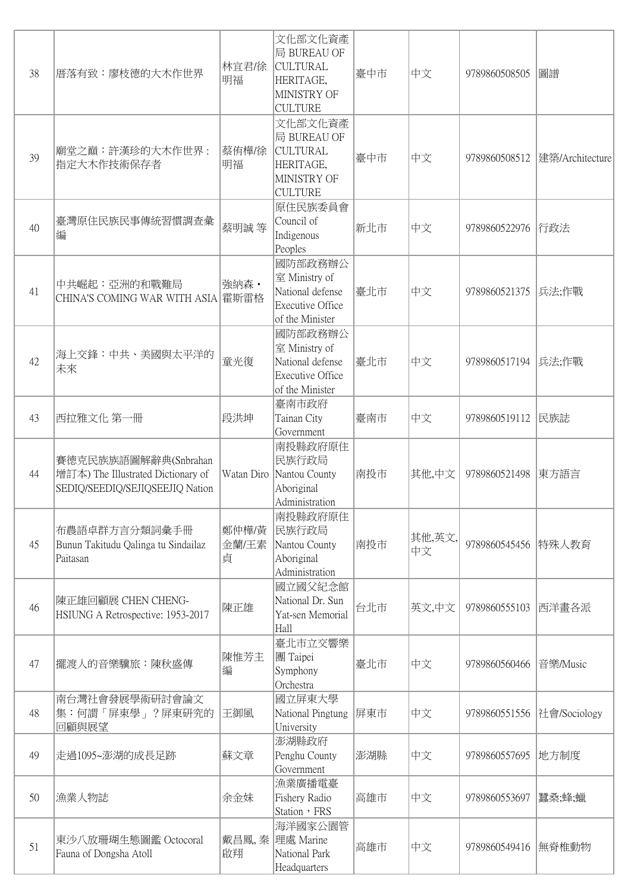| 38 | 厝落有致:廖枝德的大木作世界                                                                                | 林宜君/徐<br>明福         | 文化部文化資產<br>局 BUREAU OF<br><b>CULTURAL</b><br>HERITAGE,<br>MINISTRY OF<br><b>CULTURE</b> | 臺中市 | 中文           | 9789860508505       | 圖譜              |
|----|-----------------------------------------------------------------------------------------------|---------------------|-----------------------------------------------------------------------------------------|-----|--------------|---------------------|-----------------|
| 39 | 廟堂之巔:許漢珍的大木作世界:<br>指定大木作技術保存者                                                                 | 蔡侑樺/徐<br>明福         | 文化部文化資產<br>局 BUREAU OF<br><b>CULTURAL</b><br>HERITAGE,<br>MINISTRY OF<br><b>CULTURE</b> | 臺中市 | 中文           | 9789860508512       | 建築/Architecture |
| 40 | 臺灣原住民族民事傳統習慣調查彙<br>編                                                                          | 蔡明誠 等               | 原住民族委員會<br>Council of<br>Indigenous<br>Peoples                                          | 新北市 | 中文           | 9789860522976  行政法  |                 |
| 41 | 中共崛起:亞洲的和戰難局<br>CHINA'S COMING WAR WITH ASIA 霍斯雷格                                             | 強納森 ·               | 國防部政務辦公<br>室 Ministry of<br>National defense<br>Executive Office<br>of the Minister     | 臺北市 | 中文           | 9789860521375 兵法;作戰 |                 |
| 42 | 海上交鋒:中共、美國與太平洋的<br>未來                                                                         | 童光復                 | 國防部政務辦公<br>室 Ministry of<br>National defense<br>Executive Office<br>of the Minister     | 臺北市 | 中文           | 9789860517194 兵法;作戰 |                 |
| 43 | 西拉雅文化 第一冊                                                                                     | 段洪坤                 | 臺南市政府<br>Tainan City<br>Government                                                      | 臺南市 | 中文           | 9789860519112       | 民族誌             |
| 44 | 賽德克民族族語圖解辭典(Snbrahan<br>增訂本) The Illustrated Dictionary of<br>SEDIQ/SEEDIQ/SEJIQSEEJIQ Nation | Watan Diro          | 南投縣政府原住<br>民族行政局<br>Nantou County<br>Aboriginal<br>Administration                       | 南投市 | 其他,中文        | 9789860521498       | 東方語言            |
| 45 | 布農語卓群方言分類詞彙手冊<br>Bunun Takitudu Qalinga tu Sindailaz<br>Paitasan                              | 鄭仲樺/黃<br>金蘭/王素<br>貞 | 南投縣政府原住<br>民族行政局<br>Nantou County<br>Aboriginal<br>Administration                       | 南投市 | 其他,英文,<br>中文 | 9789860545456 特殊人教育 |                 |
| 46 | 陳正雄回顧展 CHEN CHENG-<br>HSIUNG A Retrospective: 1953-2017                                       | 陳正雄                 | 國立國父紀念館<br>National Dr. Sun<br>Yat-sen Memorial<br>Hall                                 | 台北市 | 英文,中文        | 9789860555103       | 西洋畫各派           |
| 47 | 擺渡人的音樂驥旅:陳秋盛傳                                                                                 | 陳惟芳主<br>編           | 臺北市立交響樂<br>團 Taipei<br>Symphony<br>Orchestra                                            | 臺北市 | 中文           | 9789860560466       | 音樂/Music        |
| 48 | 南台灣社會發展學術研討會論文<br>集:何謂「屏東學」?屏東研究的<br>回顧與展望                                                    | 王御風                 | 國立屏東大學<br>National Pingtung<br>University                                               | 屏東市 | 中文           | 9789860551556       | 社會/Sociology    |
| 49 | 走過1095~澎湖的成長足跡                                                                                | 蘇文章                 | 澎湖縣政府<br>Penghu County<br>Government                                                    | 澎湖縣 | 中文           | 9789860557695       | 地方制度            |
| 50 | 漁業人物誌                                                                                         | 余金妹                 | 漁業廣播電臺<br>Fishery Radio<br>Station, FRS                                                 | 高雄市 | 中文           | 9789860553697       | 蠶桑;蜂;蠟          |
| 51 | 東沙八放珊瑚生態圖鑑 Octocoral<br>Fauna of Dongsha Atoll                                                | 啟翔                  | 海洋國家公園管<br>戴昌鳳,秦 理處 Marine<br>National Park<br>Headquarters                             | 高雄市 | 中文           | 9789860549416       | 無脊椎動物           |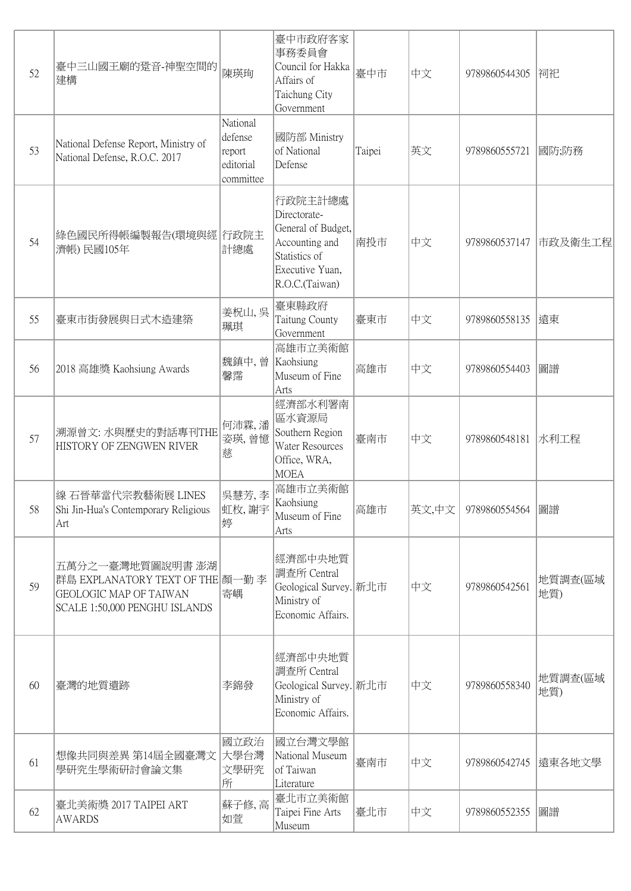| 52 | 臺中三山國王廟的跫音-神聖空間的<br>建構                                                                                                 | 陳瑛珣                                                     | 臺中市政府客家<br>事務委員會<br>Council for Hakka<br>Affairs of<br>Taichung City<br>Government                                    | 臺中市    | 中文    | 9789860544305 | 润祀             |
|----|------------------------------------------------------------------------------------------------------------------------|---------------------------------------------------------|-----------------------------------------------------------------------------------------------------------------------|--------|-------|---------------|----------------|
| 53 | National Defense Report, Ministry of<br>National Defense, R.O.C. 2017                                                  | National<br>defense<br>report<br>editorial<br>committee | 國防部 Ministry<br>of National<br>Defense                                                                                | Taipei | 英文    | 9789860555721 | 國防;防務          |
| 54 | 綠色國民所得帳編製報告(環境與經 行政院主<br>濟帳) 民國105年                                                                                    | 計總處                                                     | 行政院主計總處<br>Directorate-<br>General of Budget,<br>Accounting and<br>Statistics of<br>Executive Yuan,<br>R.O.C.(Taiwan) | 南投市    | 中文    | 9789860537147 | 市政及衛生工程        |
| 55 | 臺東市街發展與日式木造建築                                                                                                          | 姜柷山, 吳<br>珮琪                                            | 臺東縣政府<br>Taitung County<br>Government                                                                                 | 臺東市    | 中文    | 9789860558135 | 遠東             |
| 56 | 2018 高雄獎 Kaohsiung Awards                                                                                              | 魏鎮中, 曾<br>馨霈                                            | 高雄市立美術館<br>Kaohsiung<br>Museum of Fine<br>Arts                                                                        | 高雄市    | 中文    | 9789860554403 | 圖譜             |
| 57 | 溯源曾文:水與歷史的對話專刊THE<br>HISTORY OF ZENGWEN RIVER                                                                          | 何沛霖,潘<br>姿瑛, 曾憶<br>慈                                    | 經濟部水利署南<br>區水資源局<br>Southern Region<br>Water Resources<br>Office, WRA,<br><b>MOEA</b>                                 | 臺南市    | 中文    | 9789860548181 | 水利工程           |
| 58 | 線 石晉華當代宗教藝術展 LINES<br>Shi Jin-Hua's Contemporary Religious<br> Art                                                     | 吳慧芳, 李<br> 虹枚,謝宇<br>婷                                   | 高雄市立美術館<br>Kaohsiung<br>Museum of Fine<br>Arts                                                                        | 高雄市    | 英文,中文 | 9789860554564 | 圖譜             |
| 59 | 五萬分之一臺灣地質圖說明書 澎湖<br>群島 EXPLANATORY TEXT OF THE 顏一勤 李<br><b>GEOLOGIC MAP OF TAIWAN</b><br>SCALE 1:50,000 PENGHU ISLANDS | 寄嵎                                                      | 經濟部中央地質<br>調查所 Central<br>Geological Survey. 新北市<br>Ministry of<br>Economic Affairs.                                  |        | 中文    | 9789860542561 | 地質調査(區域<br>地質) |
| 60 | 臺灣的地質遺跡                                                                                                                | 李錦發                                                     | 經濟部中央地質<br> 調査所 Central<br>Geological Survey. 新北市<br>Ministry of<br>Economic Affairs.                                 |        | 中文    | 9789860558340 | 地質調査(區域<br>地質) |
| 61 | 想像共同與差異 第14屆全國臺灣文<br>學研究生學術研討會論文集                                                                                      | 國立政治<br>大學台灣<br>文學研究<br>所                               | 國立台灣文學館<br>National Museum<br>of Taiwan<br>Literature                                                                 | 臺南市    | 中文    | 9789860542745 | 遠東各地文學         |
| 62 | 臺北美術獎 2017 TAIPEI ART<br><b>AWARDS</b>                                                                                 | 蘇子修,高<br>如萱                                             | 臺北市立美術館<br>Taipei Fine Arts<br>Museum                                                                                 | 臺北市    | 中文    | 9789860552355 | 圖譜             |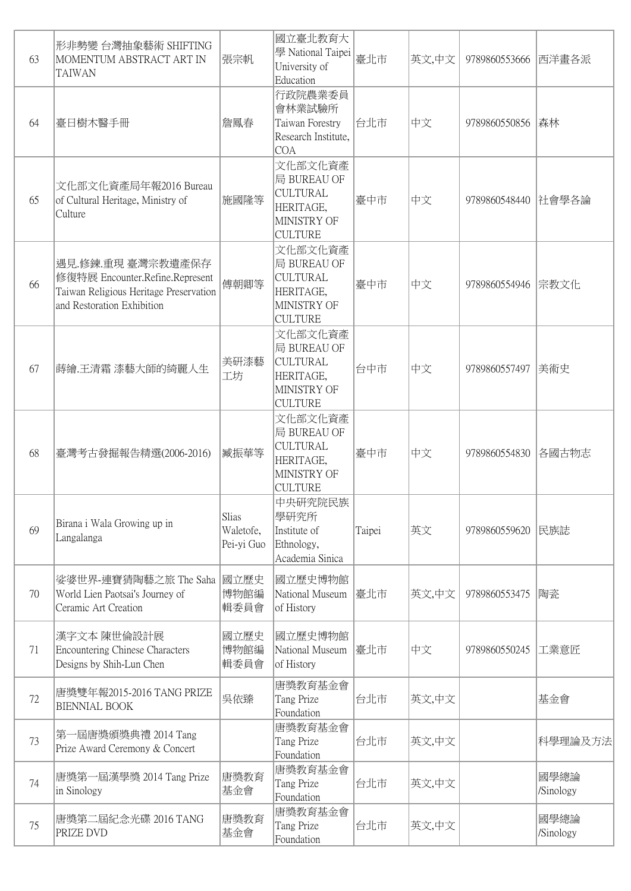| 63 | 形非勢變 台灣抽象藝術 SHIFTING<br>MOMENTUM ABSTRACT ART IN<br><b>TAIWAN</b>                                                            | 張宗帆                              | 國立臺北教育大<br>學 National Taipei<br>University of<br>Education                              | 臺北市    | 英文,中文 | 9789860553666       | 西洋畫各派             |
|----|------------------------------------------------------------------------------------------------------------------------------|----------------------------------|-----------------------------------------------------------------------------------------|--------|-------|---------------------|-------------------|
| 64 | 臺日樹木醫手冊                                                                                                                      | 詹鳳春                              | 行政院農業委員<br>會林業試驗所<br>Taiwan Forestry<br>Research Institute,<br><b>COA</b>               | 台北市    | 中文    | 9789860550856       | 森林                |
| 65 | 文化部文化資產局年報2016 Bureau<br>of Cultural Heritage, Ministry of<br>Culture                                                        | 施國隆等                             | 文化部文化資產<br>局 BUREAU OF<br><b>CULTURAL</b><br>HERITAGE,<br>MINISTRY OF<br><b>CULTURE</b> | 臺中市    | 中文    | 9789860548440 社會學各論 |                   |
| 66 | 遇見.修鍊.重現 臺灣宗教遺產保存<br>修復特展 Encounter.Refine.Represent<br>Taiwan Religious Heritage Preservation<br>and Restoration Exhibition | 傅朝卿等                             | 文化部文化資產<br>局 BUREAU OF<br><b>CULTURAL</b><br>HERITAGE,<br>MINISTRY OF<br><b>CULTURE</b> | 臺中市    | 中文    | 9789860554946 宗教文化  |                   |
| 67 | 蒔繪.王清霜 漆藝大師的綺麗人生                                                                                                             | 美研漆藝<br>工坊                       | 文化部文化資產<br>局 BUREAU OF<br><b>CULTURAL</b><br>HERITAGE,<br>MINISTRY OF<br><b>CULTURE</b> | 台中市    | 中文    | 9789860557497       | 美術史               |
| 68 | 臺灣考古發掘報告精選(2006-2016)                                                                                                        | 臧振華等                             | 文化部文化資產<br>局 BUREAU OF<br><b>CULTURAL</b><br>HERITAGE,<br>MINISTRY OF<br><b>CULTURE</b> | 臺中市    | 中文    | 9789860554830       | 各國古物志             |
| 69 | Birana i Wala Growing up in<br>Langalanga                                                                                    | Slias<br>Waletofe,<br>Pei-yi Guo | 中央研究院民族<br>學研究所<br>Institute of<br>Ethnology,<br>Academia Sinica                        | Taipei | 英文    | 9789860559620       | 民族誌               |
| 70 | 娑婆世界-連寶猜陶藝之旅 The Saha<br>World Lien Paotsai's Journey of<br>Ceramic Art Creation                                             | 國立歷史<br>博物館編<br>輯委員會             | 國立歷史博物館<br>National Museum<br>of History                                                | 臺北市    | 英文,中文 | 9789860553475       | 陶瓷                |
| 71 | 漢字文本 陳世倫設計展<br><b>Encountering Chinese Characters</b><br>Designs by Shih-Lun Chen                                            | 國立歷史<br>博物館編<br>輯委員會             | 國立歷史博物館<br>National Museum<br>of History                                                | 臺北市    | 中文    | 9789860550245       | 工業意匠              |
| 72 | 唐獎雙年報2015-2016 TANG PRIZE<br><b>BIENNIAL BOOK</b>                                                                            | 吳依臻                              | 唐獎教育基金會<br>Tang Prize<br>Foundation                                                     | 台北市    | 英文,中文 |                     | 基金會               |
| 73 | 第一屆唐獎頒獎典禮 2014 Tang<br>Prize Award Ceremony & Concert                                                                        |                                  | 唐獎教育基金會<br>Tang Prize<br>Foundation                                                     | 台北市    | 英文,中文 |                     | 科學理論及方法           |
| 74 | 唐獎第一屆漢學獎 2014 Tang Prize<br>in Sinology                                                                                      | 唐獎教育<br>基金會                      | 唐獎教育基金會<br>Tang Prize<br>Foundation                                                     | 台北市    | 英文,中文 |                     | 國學總論<br>/Sinology |
| 75 | 唐獎第二屆紀念光碟 2016 TANG<br>PRIZE DVD                                                                                             | 唐獎教育<br>基金會                      | 唐獎教育基金會<br>Tang Prize<br>Foundation                                                     | 台北市    | 英文,中文 |                     | 國學總論<br>/Sinology |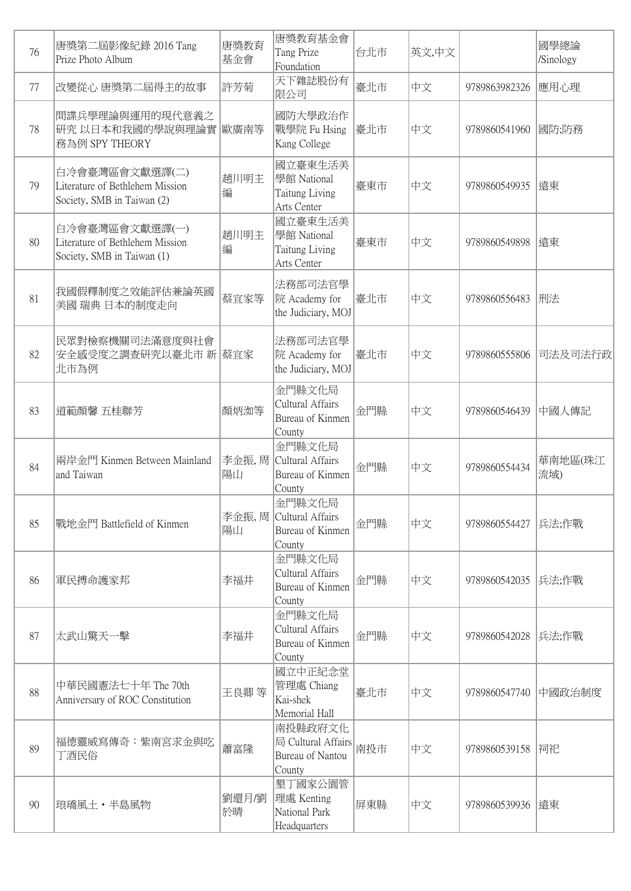| 76 | 唐獎第二屆影像紀錄 2016 Tang<br>Prize Photo Album                                        | 唐獎教育<br>基金會  | 唐獎教育基金會<br>Tang Prize<br>Foundation                         | 台北市 | 英文,中文 |                     | 國學總論<br>/Sinology |
|----|---------------------------------------------------------------------------------|--------------|-------------------------------------------------------------|-----|-------|---------------------|-------------------|
| 77 | 改變從心 唐獎第二屆得主的故事                                                                 | 許芳菊          | 天下雜誌股份有<br>限公司                                              | 臺北市 | 中文    | 9789863982326       | 應用心理              |
| 78 | 間諜兵學理論與運用的現代意義之<br>研究 以日本和我國的學說與理論實 歐廣南等<br>務為例 SPY THEORY                      |              | 國防大學政治作<br>戰學院 Fu Hsing<br>Kang College                     | 臺北市 | 中文    | 9789860541960       | 國防;防務             |
| 79 | 白冷會臺灣區會文獻選譯(二)<br>Literature of Bethlehem Mission<br>Society, SMB in Taiwan (2) | 趙川明主<br>編    | 國立臺東生活美<br>學館 National<br>Taitung Living<br>Arts Center     | 臺東市 | 中文    | 9789860549935       | 遠東                |
| 80 | 白冷會臺灣區會文獻選譯(一)<br>Literature of Bethlehem Mission<br>Society, SMB in Taiwan (1) | 趙川明主<br>編    | 國立臺東生活美<br>學館 National<br>Taitung Living<br>Arts Center     | 臺東市 | 中文    | 9789860549898       | 遠東                |
| 81 | 我國假釋制度之效能評估兼論英國<br>美國 瑞典 日本的制度走向                                                | 蔡宜家等         | 法務部司法官學<br>院 Academy for<br>the Judiciary, MOJ              | 臺北市 | 中文    | 9789860556483       | 刑法                |
| 82 | 民眾對檢察機關司法滿意度與社會<br>安全感受度之調查研究以臺北市 新 蔡宜家<br>北市為例                                 |              | 法務部司法官學<br>院 Academy for<br>the Judiciary, MOJ              | 臺北市 | 中文    | 9789860555806       | 司法及司法行政           |
| 83 | 道範顏馨 五桂聯芳                                                                       | 顏炳洳等         | 金門縣文化局<br>Cultural Affairs<br>Bureau of Kinmen<br>County    | 金門縣 | 中文    | 9789860546439       | 中國人傳記             |
| 84 | 兩岸金門 Kinmen Between Mainland<br>and Taiwan                                      | 李金振,周<br>陽山  | 金門縣文化局<br>Cultural Affairs<br>Bureau of Kinmen<br>County    | 金門縣 | 中文    | 9789860554434       | 華南地區(珠江<br>流域)    |
| 85 | 戰地金門 Battlefield of Kinmen                                                      | 李金振, 周<br>陽山 | 金門縣文化局<br>Cultural Affairs<br>Bureau of Kinmen<br>County    | 金門縣 | 中文    | 9789860554427       | 兵法;作戰             |
| 86 | 軍民搏命護家邦                                                                         | 李福井          | 金門縣文化局<br>Cultural Affairs<br>Bureau of Kinmen<br>County    | 金門縣 | 中文    | 9789860542035 兵法;作戰 |                   |
| 87 | 太武山驚天一擊                                                                         | 李福井          | 金門縣文化局<br>Cultural Affairs<br>Bureau of Kinmen<br>County    | 金門縣 | 中文    | 9789860542028 兵法;作戰 |                   |
| 88 | 中華民國憲法七十年 The 70th<br>Anniversary of ROC Constitution                           | 王良卿等         | 國立中正紀念堂<br>管理處 Chiang<br>Kai-shek<br>Memorial Hall          | 臺北市 | 中文    | 9789860547740       | 中國政治制度            |
| 89 | 福德靈威寫傳奇:紫南宮求金與吃<br>丁酒民俗                                                         | 蕭富隆          | 南投縣政府文化<br>局 Cultural Affairs<br>Bureau of Nantou<br>County | 南投市 | 中文    | 9789860539158       | 润祀                |
| 90 | 琅璚風土・半島風物                                                                       | 劉還月/劉<br>於晴  | 墾丁國家公園管<br>理處 Kenting<br>National Park<br>Headquarters      | 屏東縣 | 中文    | 9789860539936  遠東   |                   |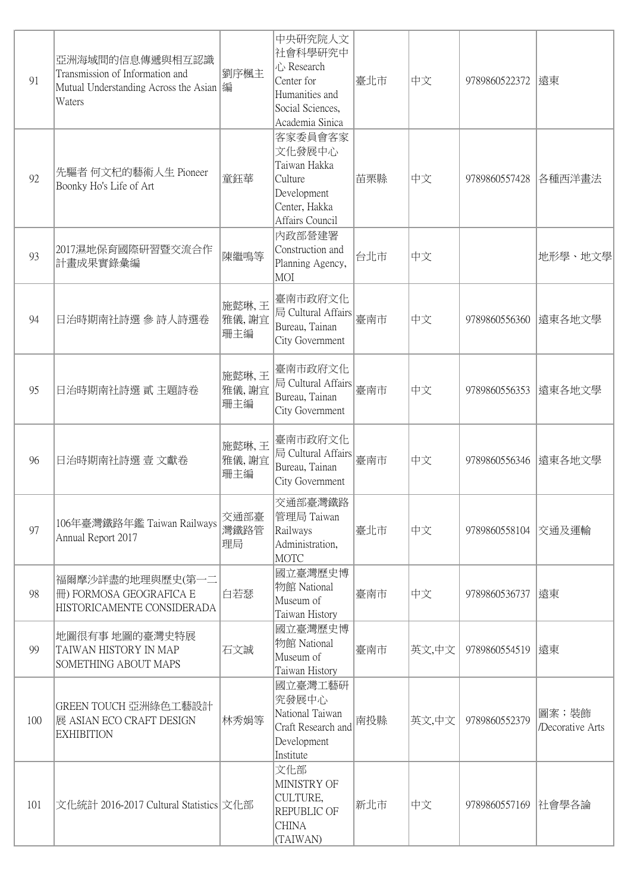| 91  | 亞洲海域間的信息傳遞與相互認識<br>Transmission of Information and<br>Mutual Understanding Across the Asian  編<br>Waters | 劉序楓主                  | 中央研究院人文<br>社會科學研究中<br>心 Research<br>Center for<br>Humanities and<br>Social Sciences,<br>Academia Sinica | 臺北市 | 中文    | 9789860522372  遠東     |                           |
|-----|----------------------------------------------------------------------------------------------------------|-----------------------|---------------------------------------------------------------------------------------------------------|-----|-------|-----------------------|---------------------------|
| 92  | 先驅者 何文杞的藝術人生 Pioneer<br>Boonky Ho's Life of Art                                                          | 童鈺華                   | 客家委員會客家<br>文化發展中心<br>Taiwan Hakka<br>Culture<br>Development<br>Center, Hakka<br>Affairs Council         | 苗栗縣 | 中文    | 9789860557428         | 各種西洋畫法                    |
| 93  | 2017濕地保育國際研習暨交流合作<br>計畫成果實錄彙編                                                                            | 陳繼鳴等                  | 内政部營建署<br>Construction and<br>Planning Agency,<br>MOI                                                   | 台北市 | 中文    |                       | 地形學、地文學                   |
| 94  | 日治時期南社詩選 參 詩人詩選卷                                                                                         | 施懿琳,王<br>雅儀,謝宜<br>珊主編 | 臺南市政府文化<br>局 Cultural Affairs<br>Bureau, Tainan<br>City Government                                      | 臺南市 | 中文    | 9789860556360  遠東各地文學 |                           |
| 95  | 日治時期南社詩選 貳 主題詩卷                                                                                          | 施懿琳,王<br>雅儀,謝宜<br>珊主編 | 臺南市政府文化<br>局 Cultural Affairs<br>Bureau, Tainan<br>City Government                                      | 臺南市 | 中文    | 9789860556353         | 遠東各地文學                    |
| 96  | 日治時期南社詩選 壹 文獻卷                                                                                           | 施懿琳,王<br>雅儀,謝宜<br>珊主編 | 臺南市政府文化<br>局 Cultural Affairs<br>Bureau, Tainan<br>City Government                                      | 臺南市 | 中文    | 9789860556346         | 遠東各地文學                    |
| 97  | 106年臺灣鐵路年鑑 Taiwan Railways<br>Annual Report 2017                                                         | 交通部臺<br>灣鐵路管<br>理局    | 交通部臺灣鐵路<br>管理局 Taiwan<br>Railways<br>Administration,<br><b>MOTC</b>                                     | 臺北市 | 中文    | 9789860558104 交通及運輸   |                           |
| 98  | 福爾摩沙詳盡的地理與歷史(第一二<br>冊) FORMOSA GEOGRAFICA E<br>HISTORICAMENTE CONSIDERADA                                | 白若瑟                   | 國立臺灣歷史博<br>物館 National<br>Museum of<br>Taiwan History                                                   | 臺南市 | 中文    | 9789860536737  遠東     |                           |
| 99  | 地圖很有事 地圖的臺灣史特展<br>TAIWAN HISTORY IN MAP<br>SOMETHING ABOUT MAPS                                          | 石文誠                   | 國立臺灣歷史博<br>物館 National<br>Museum of<br>Taiwan History                                                   | 臺南市 | 英文,中文 | 9789860554519  遠東     |                           |
| 100 | GREEN TOUCH 亞洲綠色工藝設計<br>展 ASIAN ECO CRAFT DESIGN<br><b>EXHIBITION</b>                                    | 林秀娟等                  | 國立臺灣工藝研<br>究發展中心<br>National Taiwan<br>Craft Research and<br>Development<br>Institute                   | 南投縣 | 英文,中文 | 9789860552379         | 圖案;裝飾<br>/Decorative Arts |
| 101 | 文化統計 2016-2017 Cultural Statistics 文化部                                                                   |                       | 文化部<br>MINISTRY OF<br>CULTURE,<br>REPUBLIC OF<br><b>CHINA</b><br>(TAIWAN)                               | 新北市 | 中文    | 9789860557169         | 社會學各論                     |